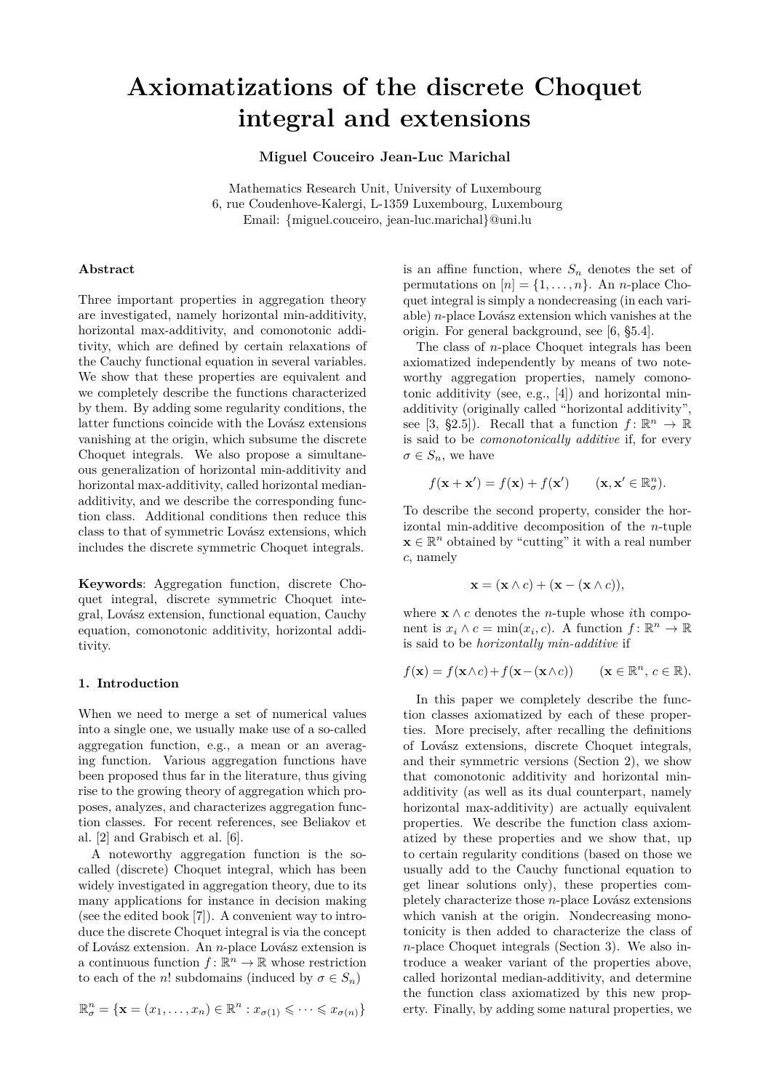# **Axiomatizations of the discrete Choquet integral and extensions**

**Miguel Couceiro Jean-Luc Marichal**

Mathematics Research Unit, University of Luxembourg 6, rue Coudenhove-Kalergi, L-1359 Luxembourg, Luxembourg Email: {miguel.couceiro, jean-luc.marichal}@uni.lu

### **Abstract**

Three important properties in aggregation theory are investigated, namely horizontal min-additivity, horizontal max-additivity, and comonotonic additivity, which are defined by certain relaxations of the Cauchy functional equation in several variables. We show that these properties are equivalent and we completely describe the functions characterized by them. By adding some regularity conditions, the latter functions coincide with the Lovász extensions vanishing at the origin, which subsume the discrete Choquet integrals. We also propose a simultaneous generalization of horizontal min-additivity and horizontal max-additivity, called horizontal medianadditivity, and we describe the corresponding function class. Additional conditions then reduce this class to that of symmetric Lovász extensions, which includes the discrete symmetric Choquet integrals.

**Keywords**: Aggregation function, discrete Choquet integral, discrete symmetric Choquet integral, Lovász extension, functional equation, Cauchy equation, comonotonic additivity, horizontal additivity.

#### **1. Introduction**

When we need to merge a set of numerical values into a single one, we usually make use of a so-called aggregation function, e.g., a mean or an averaging function. Various aggregation functions have been proposed thus far in the literature, thus giving rise to the growing theory of aggregation which proposes, analyzes, and characterizes aggregation function classes. For recent references, see Beliakov et al. [2] and Grabisch et al. [6].

A noteworthy aggregation function is the socalled (discrete) Choquet integral, which has been widely investigated in aggregation theory, due to its many applications for instance in decision making (see the edited book [7]). A convenient way to introduce the discrete Choquet integral is via the concept of Lovász extension. An *n*-place Lovász extension is a continuous function  $f: \mathbb{R}^n \to \mathbb{R}$  whose restriction to each of the *n*! subdomains (induced by  $\sigma \in S_n$ )

$$
\mathbb{R}^n_{\sigma} = \{ \mathbf{x} = (x_1, \dots, x_n) \in \mathbb{R}^n : x_{\sigma(1)} \leqslant \dots \leqslant x_{\sigma(n)} \}
$$

is an affine function, where  $S_n$  denotes the set of permutations on  $[n] = \{1, \ldots, n\}$ . An *n*-place Choquet integral is simply a nondecreasing (in each variable) *n*-place Lovász extension which vanishes at the origin. For general background, see [6, §5.4].

The class of *n*-place Choquet integrals has been axiomatized independently by means of two noteworthy aggregation properties, namely comonotonic additivity (see, e.g., [4]) and horizontal minadditivity (originally called "horizontal additivity", see [3, §2.5]). Recall that a function  $f: \mathbb{R}^n \to \mathbb{R}$ is said to be *comonotonically additive* if, for every  $\sigma \in S_n$ , we have

$$
f(\mathbf{x} + \mathbf{x}') = f(\mathbf{x}) + f(\mathbf{x}') \qquad (\mathbf{x}, \mathbf{x}' \in \mathbb{R}^n_{\sigma}).
$$

To describe the second property, consider the horizontal min-additive decomposition of the *n*-tuple  $\mathbf{x} \in \mathbb{R}^n$  obtained by "cutting" it with a real number *c*, namely

$$
\mathbf{x} = (\mathbf{x} \wedge c) + (\mathbf{x} - (\mathbf{x} \wedge c)),
$$

where  $\mathbf{x} \wedge c$  denotes the *n*-tuple whose *i*th component is  $x_i \wedge c = \min(x_i, c)$ . A function  $f: \mathbb{R}^n \to \mathbb{R}$ is said to be *horizontally min-additive* if

$$
f(\mathbf{x}) = f(\mathbf{x} \wedge c) + f(\mathbf{x} - (\mathbf{x} \wedge c)) \qquad (\mathbf{x} \in \mathbb{R}^n, \ c \in \mathbb{R}).
$$

In this paper we completely describe the function classes axiomatized by each of these properties. More precisely, after recalling the definitions of Lovász extensions, discrete Choquet integrals, and their symmetric versions (Section 2), we show that comonotonic additivity and horizontal minadditivity (as well as its dual counterpart, namely horizontal max-additivity) are actually equivalent properties. We describe the function class axiomatized by these properties and we show that, up to certain regularity conditions (based on those we usually add to the Cauchy functional equation to get linear solutions only), these properties completely characterize those *n*-place Lovász extensions which vanish at the origin. Nondecreasing monotonicity is then added to characterize the class of *n*-place Choquet integrals (Section 3). We also introduce a weaker variant of the properties above, called horizontal median-additivity, and determine the function class axiomatized by this new property. Finally, by adding some natural properties, we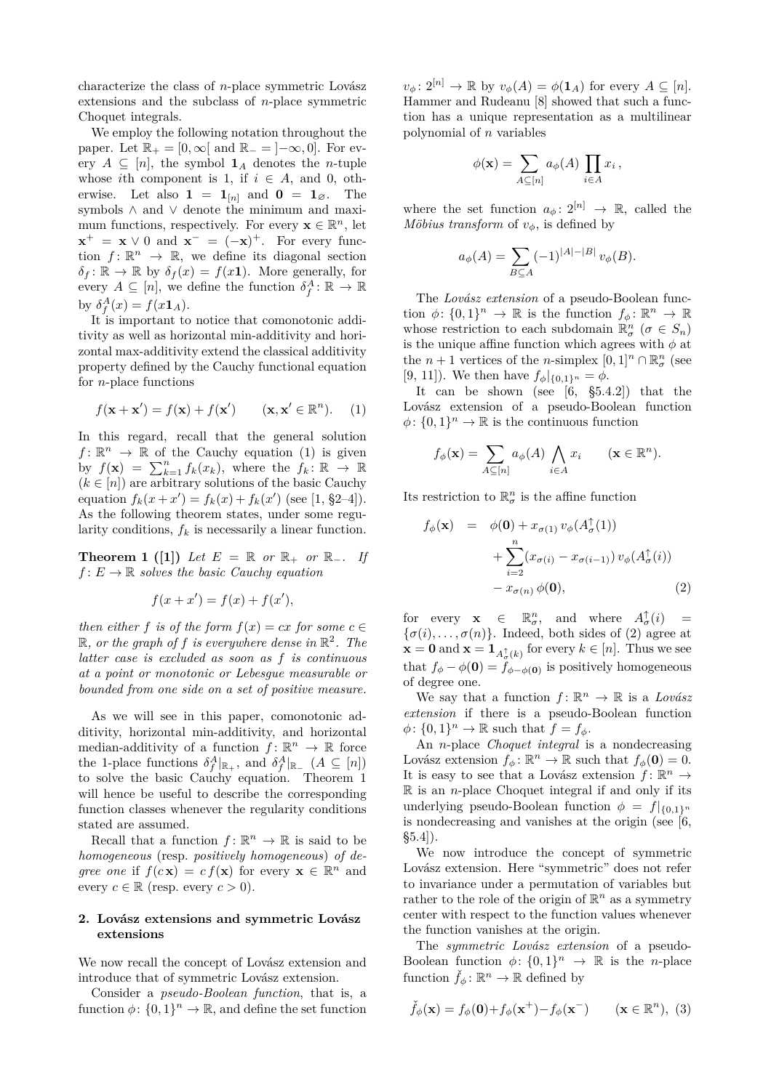characterize the class of *n*-place symmetric Lovász extensions and the subclass of *n*-place symmetric Choquet integrals.

We employ the following notation throughout the paper. Let  $\mathbb{R}_+ = [0, \infty)$  and  $\mathbb{R}_- = ]-\infty, 0]$ . For every  $A \subseteq [n]$ , the symbol  $\mathbf{1}_A$  denotes the *n*-tuple whose *i*th component is 1, if  $i \in A$ , and 0, otherwise. Let also  $\mathbf{1} = \mathbf{1}_{[n]}$  and  $\mathbf{0} = \mathbf{1}_{\emptyset}$ . The symbols ∧ and ∨ denote the minimum and maximum functions, respectively. For every  $\mathbf{x} \in \mathbb{R}^n$ , let  $\mathbf{x}^+ = \mathbf{x} \vee 0$  and  $\mathbf{x}^- = (-\mathbf{x})^+$ . For every function  $f: \mathbb{R}^n \to \mathbb{R}$ , we define its diagonal section  $\delta_f: \mathbb{R} \to \mathbb{R}$  by  $\delta_f(x) = f(x\mathbf{1})$ . More generally, for every  $A \subseteq [n]$ , we define the function  $\delta_f^A \colon \mathbb{R} \to \mathbb{R}$ by  $\delta_f^A(x) = f(x \mathbf{1}_A).$ 

It is important to notice that comonotonic additivity as well as horizontal min-additivity and horizontal max-additivity extend the classical additivity property defined by the Cauchy functional equation for *n*-place functions

$$
f(\mathbf{x} + \mathbf{x}') = f(\mathbf{x}) + f(\mathbf{x}') \qquad (\mathbf{x}, \mathbf{x}' \in \mathbb{R}^n). \tag{1}
$$

In this regard, recall that the general solution  $f: \mathbb{R}^n \to \mathbb{R}$  of the Cauchy equation (1) is given by  $f(\mathbf{x}) = \sum_{k=1}^{n} f_k(x_k)$ , where the  $f_k : \mathbb{R} \to \mathbb{R}$  $(k \in [n])$  are arbitrary solutions of the basic Cauchy equation  $f_k(x + x') = f_k(x) + f_k(x')$  (see [1, §2-4]). As the following theorem states, under some regularity conditions,  $f_k$  is necessarily a linear function.

**Theorem 1 ([1])** Let  $E = \mathbb{R}$  or  $\mathbb{R}_+$  or  $\mathbb{R}_-$ . If  $f: E \to \mathbb{R}$  *solves the basic Cauchy equation* 

$$
f(x + x') = f(x) + f(x'),
$$

*then either*  $f$  *is of the form*  $f(x) = cx$  *for some*  $c \in$  $\mathbb{R}$ *, or the graph of f is everywhere dense in*  $\mathbb{R}^2$ *. The latter case is excluded as soon as f is continuous at a point or monotonic or Lebesgue measurable or bounded from one side on a set of positive measure.*

As we will see in this paper, comonotonic additivity, horizontal min-additivity, and horizontal median-additivity of a function  $f: \mathbb{R}^n \to \mathbb{R}$  force the 1-place functions  $\delta_f^A|_{\mathbb{R}_+}$ , and  $\delta_f^A|_{\mathbb{R}_-}$   $(A \subseteq [n])$ to solve the basic Cauchy equation. Theorem 1 will hence be useful to describe the corresponding function classes whenever the regularity conditions stated are assumed.

Recall that a function  $f: \mathbb{R}^n \to \mathbb{R}$  is said to be *homogeneous* (resp. *positively homogeneous*) *of degree one* if  $f(c\mathbf{x}) = cf(\mathbf{x})$  for every  $\mathbf{x} \in \mathbb{R}^n$  and every  $c \in \mathbb{R}$  (resp. every  $c > 0$ ).

# **2. Lovász extensions and symmetric Lovász extensions**

We now recall the concept of Lovász extension and introduce that of symmetric Lovász extension.

Consider a *pseudo-Boolean function*, that is, a function  $\phi: \{0,1\}^n \to \mathbb{R}$ , and define the set function

 $v_{\phi}$ :  $2^{[n]} \rightarrow \mathbb{R}$  by  $v_{\phi}(A) = \phi(\mathbf{1}_A)$  for every  $A \subseteq [n]$ . Hammer and Rudeanu [8] showed that such a function has a unique representation as a multilinear polynomial of *n* variables

$$
\phi(\mathbf{x}) = \sum_{A \subseteq [n]} a_{\phi}(A) \prod_{i \in A} x_i,
$$

where the set function  $a_{\phi} \colon 2^{[n]} \to \mathbb{R}$ , called the *Möbius transform* of *v*<sup> $θ$ </sup>, is defined by

$$
a_{\phi}(A) = \sum_{B \subseteq A} (-1)^{|A| - |B|} v_{\phi}(B).
$$

The *Lovász extension* of a pseudo-Boolean function  $\phi$ :  $\{0,1\}^n \to \mathbb{R}$  is the function  $f_{\phi}$ :  $\mathbb{R}^n \to \mathbb{R}$ whose restriction to each subdomain  $\mathbb{R}^n_\sigma$  ( $\sigma \in S_n$ ) is the unique affine function which agrees with  $\phi$  at the  $n + 1$  vertices of the *n*-simplex  $[0, 1]^n \cap \mathbb{R}^n_{\sigma}$  (see [9, 11]). We then have  $f_{\phi}|_{\{0,1\}^n} = \phi$ .

It can be shown (see  $[6, \S 5.4.2]$ ) that the Lovász extension of a pseudo-Boolean function  $\phi$ :  $\{0,1\}^n \to \mathbb{R}$  is the continuous function

$$
f_{\phi}(\mathbf{x}) = \sum_{A \subseteq [n]} a_{\phi}(A) \bigwedge_{i \in A} x_i \qquad (\mathbf{x} \in \mathbb{R}^n).
$$

Its restriction to  $\mathbb{R}^n_{\sigma}$  is the affine function

$$
f_{\phi}(\mathbf{x}) = \phi(\mathbf{0}) + x_{\sigma(1)} v_{\phi}(A_{\sigma}^{\uparrow}(1))
$$
  
+ 
$$
\sum_{i=2}^{n} (x_{\sigma(i)} - x_{\sigma(i-1)}) v_{\phi}(A_{\sigma}^{\uparrow}(i))
$$
  
- 
$$
x_{\sigma(n)} \phi(\mathbf{0}),
$$
 (2)

for every  $\mathbf{x} \in \mathbb{R}^n_{\sigma}$ , and where  $A_{\sigma}^{\uparrow}(i)$  =  $\{\sigma(i), \ldots, \sigma(n)\}\$ . Indeed, both sides of (2) agree at  $\mathbf{x} = \mathbf{0}$  and  $\mathbf{x} = \mathbf{1}_{A_{\sigma}^{\uparrow}(k)}$  for every  $k \in [n]$ . Thus we see that  $f_{\phi} - \phi(\mathbf{0}) = f_{\phi - \phi(\mathbf{0})}$  is positively homogeneous of degree one.

We say that a function  $f: \mathbb{R}^n \to \mathbb{R}$  is a *Lovász extension* if there is a pseudo-Boolean function  $\phi$ :  $\{0,1\}^n \to \mathbb{R}$  such that  $f = f_{\phi}$ .

An *n*-place *Choquet integral* is a nondecreasing Lovász extension  $f_{\phi} : \mathbb{R}^n \to \mathbb{R}$  such that  $f_{\phi}(\mathbf{0}) = 0$ . It is easy to see that a Lovász extension  $f: \mathbb{R}^n \to$ R is an *n*-place Choquet integral if and only if its underlying pseudo-Boolean function  $\phi = f|_{\{0,1\}^n}$ is nondecreasing and vanishes at the origin (see  $[6,$  $\S5.4$ ).

We now introduce the concept of symmetric Lovász extension. Here "symmetric" does not refer to invariance under a permutation of variables but rather to the role of the origin of  $\mathbb{R}^n$  as a symmetry center with respect to the function values whenever the function vanishes at the origin.

The *symmetric Lovász extension* of a pseudo-Boolean function  $\phi: \{0,1\}^n \to \mathbb{R}$  is the *n*-place function  $\check{f}_{\phi} \colon \mathbb{R}^n \to \mathbb{R}$  defined by

$$
\check{f}_{\phi}(\mathbf{x}) = f_{\phi}(\mathbf{0}) + f_{\phi}(\mathbf{x}^{+}) - f_{\phi}(\mathbf{x}^{-}) \qquad (\mathbf{x} \in \mathbb{R}^{n}), (3)
$$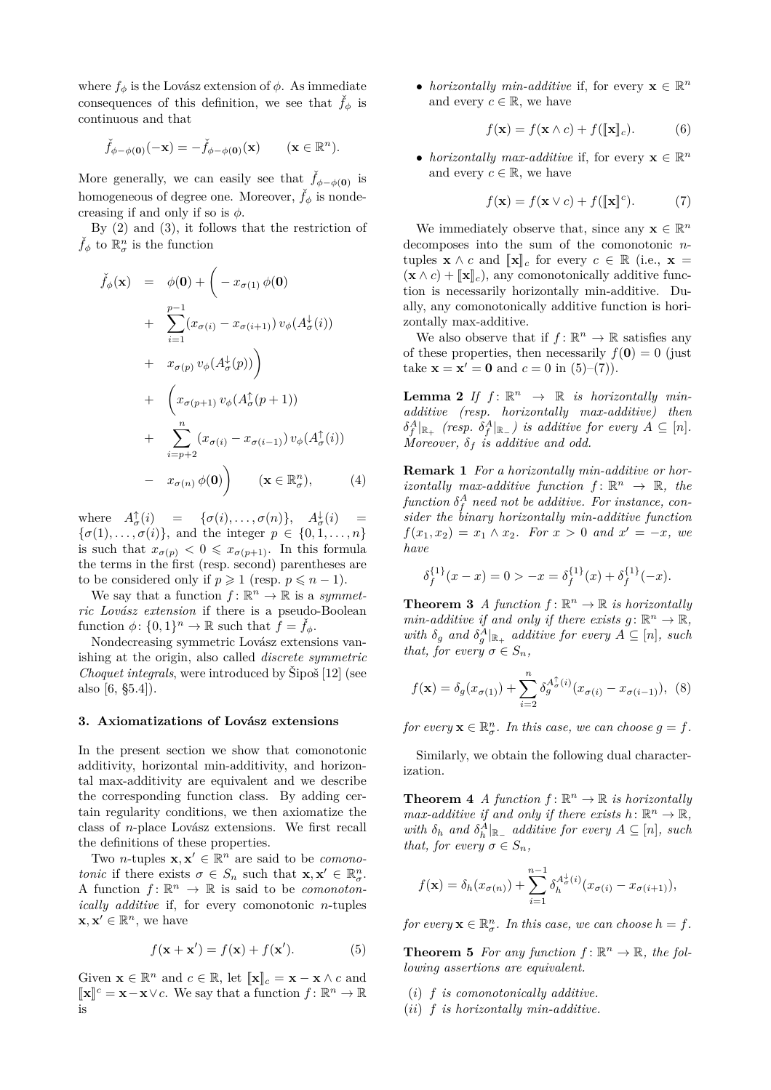where  $f_{\phi}$  is the Lovász extension of  $\phi$ . As immediate consequences of this definition, we see that  $f_{\phi}$  is continuous and that

$$
\check{f}_{\phi-\phi(\mathbf{0})}(-\mathbf{x})=-\check{f}_{\phi-\phi(\mathbf{0})}(\mathbf{x})\qquad(\mathbf{x}\in\mathbb{R}^n).
$$

More generally, we can easily see that  $\check{f}_{\phi-\phi(\mathbf{0})}$  is homogeneous of degree one. Moreover,  $\dot{f}_{\phi}$  is nondecreasing if and only if so is  $\phi$ .

By (2) and (3), it follows that the restriction of  $\check{f}_{\phi}$  to  $\mathbb{R}^n_{\sigma}$  is the function

$$
\check{f}_{\phi}(\mathbf{x}) = \phi(\mathbf{0}) + \left( -x_{\sigma(1)} \phi(\mathbf{0}) + \sum_{i=1}^{p-1} (x_{\sigma(i)} - x_{\sigma(i+1)}) v_{\phi}(A_{\sigma}^{\downarrow}(i)) + x_{\sigma(p)} v_{\phi}(A_{\sigma}^{\downarrow}(p)) \right) \n+ \left( x_{\sigma(p+1)} v_{\phi}(A_{\sigma}^{\uparrow}(p+1)) + \sum_{i=p+2}^{n} (x_{\sigma(i)} - x_{\sigma(i-1)}) v_{\phi}(A_{\sigma}^{\uparrow}(i)) - x_{\sigma(n)} \phi(\mathbf{0}) \right) \quad (\mathbf{x} \in \mathbb{R}_{\sigma}^{n}), \qquad (4)
$$

where  $A^{\uparrow}_{\sigma}(i) = {\sigma}(i), \ldots, {\sigma}(n)$ ,  $A^{\downarrow}_{\sigma}(i) = {\sigma}(i)$  $\{\sigma(1), \ldots, \sigma(i)\}\$ , and the integer  $p \in \{0, 1, \ldots, n\}\$ is such that  $x_{\sigma(p)} < 0 \leq x_{\sigma(p+1)}$ . In this formula the terms in the first (resp. second) parentheses are to be considered only if  $p \geq 1$  (resp.  $p \leq n-1$ ).

We say that a function  $f: \mathbb{R}^n \to \mathbb{R}$  is a *symmetric Lovász extension* if there is a pseudo-Boolean function  $\phi$ :  $\{0,1\}^n \to \mathbb{R}$  such that  $\hat{f} = \check{f}_{\phi}$ .

Nondecreasing symmetric Lovász extensions vanishing at the origin, also called *discrete symmetric Choquet integrals*, were introduced by Šipoš [12] (see also [6, §5.4]).

#### **3. Axiomatizations of Lovász extensions**

In the present section we show that comonotonic additivity, horizontal min-additivity, and horizontal max-additivity are equivalent and we describe the corresponding function class. By adding certain regularity conditions, we then axiomatize the class of *n*-place Lovász extensions. We first recall the definitions of these properties.

Two *n*-tuples  $\mathbf{x}, \mathbf{x}' \in \mathbb{R}^n$  are said to be *comonotonic* if there exists  $\sigma \in S_n$  such that  $\mathbf{x}, \mathbf{x}' \in \mathbb{R}_{\sigma}^n$ . A function  $f: \mathbb{R}^n \to \mathbb{R}$  is said to be *comonotonically additive* if, for every comonotonic *n*-tuples  $\mathbf{x}, \mathbf{x}' \in \mathbb{R}^n$ , we have

$$
f(\mathbf{x} + \mathbf{x}') = f(\mathbf{x}) + f(\mathbf{x}'). \tag{5}
$$

Given  $\mathbf{x} \in \mathbb{R}^n$  and  $c \in \mathbb{R}$ , let  $[\![\mathbf{x}]\!]_c = \mathbf{x} - \mathbf{x} \wedge c$  and  $\llbracket \mathbf{x} \rrbracket^c = \mathbf{x} - \mathbf{x} \lor c$ . We say that a function  $f: \mathbb{R}^n \to \mathbb{R}$ is

• *horizontally min-additive* if, for every  $\mathbf{x} \in \mathbb{R}^n$ and every  $c \in \mathbb{R}$ , we have

$$
f(\mathbf{x}) = f(\mathbf{x} \wedge c) + f([\![\mathbf{x}]\!]_c). \tag{6}
$$

• *horizontally max-additive* if, for every  $\mathbf{x} \in \mathbb{R}^n$ and every  $c \in \mathbb{R}$ , we have

$$
f(\mathbf{x}) = f(\mathbf{x} \lor c) + f([\![\mathbf{x}]\!]^c). \tag{7}
$$

We immediately observe that, since any  $\mathbf{x} \in \mathbb{R}^n$ decomposes into the sum of the comonotonic *n*tuples  $\mathbf{x} \wedge c$  and  $\llbracket \mathbf{x} \rrbracket_c$  for every  $c \in \mathbb{R}$  (i.e.,  $\mathbf{x} =$  $(\mathbf{x} \wedge c) + [\![\mathbf{x}]\!]_c$ , any comonotonically additive function is necessarily horizontally min-additive. Dually, any comonotonically additive function is horizontally max-additive.

We also observe that if  $f: \mathbb{R}^n \to \mathbb{R}$  satisfies any of these properties, then necessarily  $f(\mathbf{0}) = 0$  (just take  $\mathbf{x} = \mathbf{x}' = \mathbf{0}$  and  $c = 0$  in (5)–(7)).

**Lemma 2** If  $f: \mathbb{R}^n \to \mathbb{R}$  is horizontally min*additive (resp. horizontally max-additive) then*  $\delta_f^A|_{\mathbb{R}_+}$  (resp.  $\delta_f^A|_{\mathbb{R}_-}$ ) is additive for every  $A \subseteq [n]$ . *Moreover,*  $\delta_f$  *is additive and odd.* 

**Remark 1** *For a horizontally min-additive or horizontally max-additive function*  $f: \mathbb{R}^n \to \mathbb{R}$ , the  $function \delta_f^A$  need not be additive. For instance, con*sider the binary horizontally min-additive function*  $f(x_1, x_2) = x_1 \wedge x_2$ *. For*  $x > 0$  *and*  $x' = -x$ *, we have*

$$
\delta_f^{\{1\}}(x-x) = 0 > -x = \delta_f^{\{1\}}(x) + \delta_f^{\{1\}}(-x).
$$

**Theorem 3** *A* function  $f: \mathbb{R}^n \to \mathbb{R}$  is horizontally *min-additive if and only if there exists*  $g: \mathbb{R}^n \to \mathbb{R}$ , *with*  $\delta_g$  *and*  $\delta_g^A|_{\mathbb{R}_+}$  *additive for every*  $A \subseteq [n]$ *, such that, for every*  $\sigma \in S_n$ *,* 

$$
f(\mathbf{x}) = \delta_g(x_{\sigma(1)}) + \sum_{i=2}^n \delta_g^{A_{\sigma}^{\dagger}(i)}(x_{\sigma(i)} - x_{\sigma(i-1)}), \tag{8}
$$

*for every*  $\mathbf{x} \in \mathbb{R}^n_{\sigma}$ *. In this case, we can choose*  $g = f$ *.* 

Similarly, we obtain the following dual characterization.

**Theorem 4** *A* function  $f: \mathbb{R}^n \to \mathbb{R}$  is horizontally *max-additive if and only if there exists*  $h: \mathbb{R}^n \to \mathbb{R}$ , *with*  $\delta_h$  *and*  $\delta_h^A|_{\mathbb{R}_+}$  *additive for every*  $A \subseteq [n]$ *, such that, for every*  $\sigma \in S_n$ *,* 

$$
f(\mathbf{x}) = \delta_h(x_{\sigma(n)}) + \sum_{i=1}^{n-1} \delta_h^{A^{\downarrow}_{\sigma}(i)}(x_{\sigma(i)} - x_{\sigma(i+1)}),
$$

*for every*  $\mathbf{x} \in \mathbb{R}^n_{\sigma}$ *. In this case, we can choose*  $h = f$ *.* 

**Theorem 5** For any function  $f: \mathbb{R}^n \to \mathbb{R}$ , the fol*lowing assertions are equivalent.*

- (*i*) *f is comonotonically additive.*
- (*ii*) *f is horizontally min-additive.*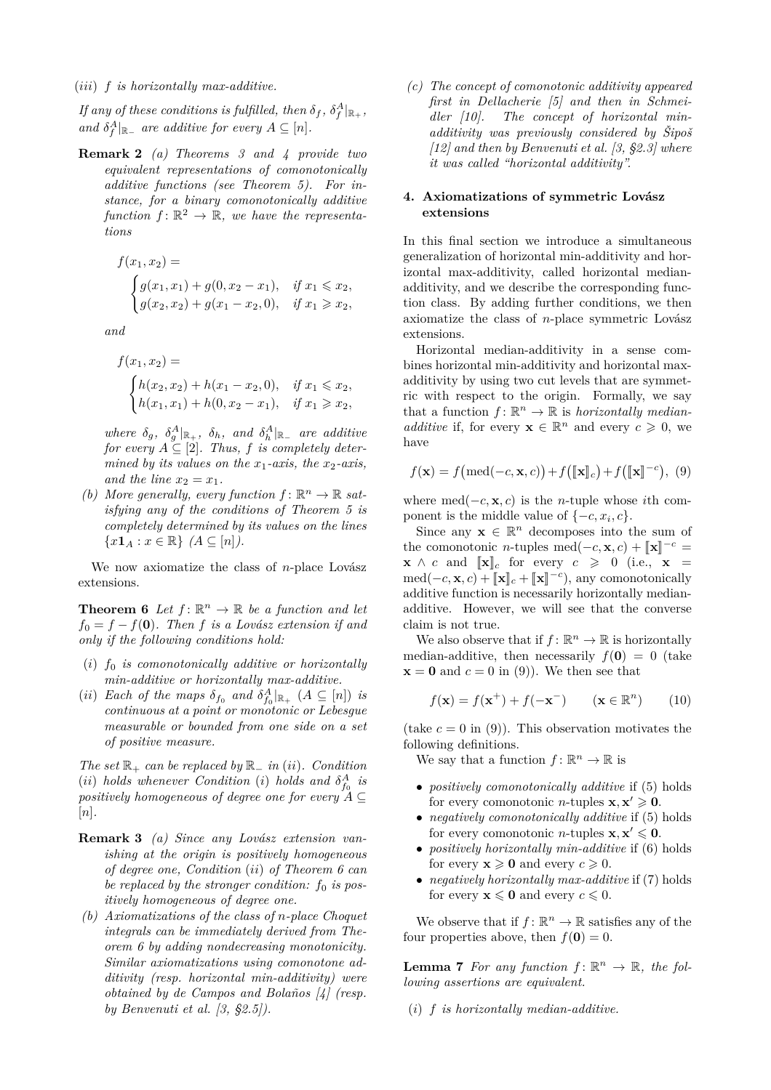*If any of these conditions is fulfilled, then*  $\delta_f$ *,*  $\delta_f^A|_{\mathbb{R}_+}$ *, and*  $\delta_f^A|_{\mathbb{R}_-}$  *are additive for every*  $A \subseteq [n]$ *.* 

**Remark 2** *(a) Theorems 3 and 4 provide two equivalent representations of comonotonically additive functions (see Theorem 5). For instance, for a binary comonotonically additive function*  $f: \mathbb{R}^2 \to \mathbb{R}$ , we have the representa*tions*

$$
f(x_1, x_2) =
$$
  
\n
$$
\begin{cases}\ng(x_1, x_1) + g(0, x_2 - x_1), & \text{if } x_1 \le x_2, \\
g(x_2, x_2) + g(x_1 - x_2, 0), & \text{if } x_1 \ge x_2,\n\end{cases}
$$

*and*

$$
f(x_1, x_2) =
$$
  
\n
$$
\begin{cases}\nh(x_2, x_2) + h(x_1 - x_2, 0), & \text{if } x_1 \le x_2, \\
h(x_1, x_1) + h(0, x_2 - x_1), & \text{if } x_1 \ge x_2,\n\end{cases}
$$

*where*  $\delta_g$ ,  $\delta_g^A|_{\mathbb{R}_+}$ ,  $\delta_h$ , and  $\delta_h^A|_{\mathbb{R}_-}$  are additive *for every*  $A \subseteq [2]$ *. Thus, f is completely determined by its values on the*  $x_1$ *-axis, the*  $x_2$ *-axis, and the line*  $x_2 = x_1$ *.* 

*(b)* More generally, every function  $f: \mathbb{R}^n \to \mathbb{R}$  sat*isfying any of the conditions of Theorem 5 is completely determined by its values on the lines*  ${x \cdot x \in \mathbb{R} \}$   $(A \subseteq [n])$ .

We now axiomatize the class of *n*-place Lovász extensions.

**Theorem 6** Let  $f: \mathbb{R}^n \to \mathbb{R}$  be a function and let  $f_0 = f - f(\mathbf{0})$ *. Then f is a Lovász extension if and only if the following conditions hold:*

- (*i*) *f*<sup>0</sup> *is comonotonically additive or horizontally min-additive or horizontally max-additive.*
- (*ii*) *Each of the maps*  $\delta_{f_0}$  *and*  $\delta_{f_0}^A|_{\mathbb{R}_+}$  ( $A \subseteq [n]$ ) *is continuous at a point or monotonic or Lebesgue measurable or bounded from one side on a set of positive measure.*

*The set* R<sup>+</sup> *can be replaced by* R<sup>−</sup> *in* (*ii*)*. Condition* (*ii*) *holds* whenever Condition (*i*) *holds* and  $\delta_{f_0}^A$  *is positively homogeneous of degree one for every A* ⊆ [*n*]*.*

- **Remark 3** *(a) Since any Lovász extension vanishing at the origin is positively homogeneous of degree one, Condition* (*ii*) *of Theorem 6 can be replaced by the stronger condition:*  $f_0$  *is positively homogeneous of degree one.*
- *(b) Axiomatizations of the class of n-place Choquet integrals can be immediately derived from Theorem 6 by adding nondecreasing monotonicity. Similar axiomatizations using comonotone additivity (resp. horizontal min-additivity) were obtained by de Campos and Bolaños [4] (resp. by Benvenuti et al. [3, §2.5]).*

*(c) The concept of comonotonic additivity appeared first in Dellacherie [5] and then in Schmeidler [10]. The concept of horizontal minadditivity was previously considered by Šipoš [12] and then by Benvenuti et al. [3, §2.3] where it was called "horizontal additivity".*

## **4. Axiomatizations of symmetric Lovász extensions**

In this final section we introduce a simultaneous generalization of horizontal min-additivity and horizontal max-additivity, called horizontal medianadditivity, and we describe the corresponding function class. By adding further conditions, we then axiomatize the class of *n*-place symmetric Lovász extensions.

Horizontal median-additivity in a sense combines horizontal min-additivity and horizontal maxadditivity by using two cut levels that are symmetric with respect to the origin. Formally, we say that a function  $f: \mathbb{R}^n \to \mathbb{R}$  is *horizontally medianadditive* if, for every  $\mathbf{x} \in \mathbb{R}^n$  and every  $c \geq 0$ , we have

$$
f(\mathbf{x}) = f\big(\text{med}(-c, \mathbf{x}, c)\big) + f\big(\llbracket \mathbf{x} \rrbracket_c\big) + f\big(\llbracket \mathbf{x} \rrbracket^{-c}\big),\tag{9}
$$

where med( $-c$ , **x**, *c*) is the *n*-tuple whose *i*th component is the middle value of  $\{-c, x_i, c\}$ .

Since any  $\mathbf{x} \in \mathbb{R}^n$  decomposes into the sum of the comonotonic *n*-tuples med( $-c$ , **x**, *c*) +  $\|\mathbf{x}\|^{-c}$  $\mathbf{x} \wedge c$  and  $\|\mathbf{x}\|_c$  for every  $c \geq 0$  (i.e.,  $\mathbf{x} =$  $\text{med}(-c, \mathbf{x}, c) + [\![\mathbf{x}]\!]_c + [\![\mathbf{x}]\!]^{-c}$ , any comonotonically additive function is necessarily horizontally medianadditive. However, we will see that the converse claim is not true.

We also observe that if  $f: \mathbb{R}^n \to \mathbb{R}$  is horizontally median-additive, then necessarily  $f(\mathbf{0}) = 0$  (take  $\mathbf{x} = \mathbf{0}$  and  $c = 0$  in (9)). We then see that

$$
f(\mathbf{x}) = f(\mathbf{x}^+) + f(-\mathbf{x}^-) \qquad (\mathbf{x} \in \mathbb{R}^n) \tag{10}
$$

(take  $c = 0$  in (9)). This observation motivates the following definitions.

We say that a function  $f: \mathbb{R}^n \to \mathbb{R}$  is

- *positively comonotonically additive* if (5) holds for every comonotonic *n*-tuples  $\mathbf{x}, \mathbf{x}' \geq 0$ .
- *negatively comonotonically additive* if (5) holds for every comonotonic *n*-tuples  $\mathbf{x}, \mathbf{x}' \leq 0$ .
- *positively horizontally min-additive* if (6) holds for every  $x \ge 0$  and every  $c \ge 0$ .
- *negatively horizontally max-additive* if (7) holds for every  $x \le 0$  and every  $c \le 0$ .

We observe that if  $f: \mathbb{R}^n \to \mathbb{R}$  satisfies any of the four properties above, then  $f(\mathbf{0}) = 0$ .

**Lemma 7** For any function  $f: \mathbb{R}^n \to \mathbb{R}$ , the fol*lowing assertions are equivalent.*

(*i*) *f is horizontally median-additive.*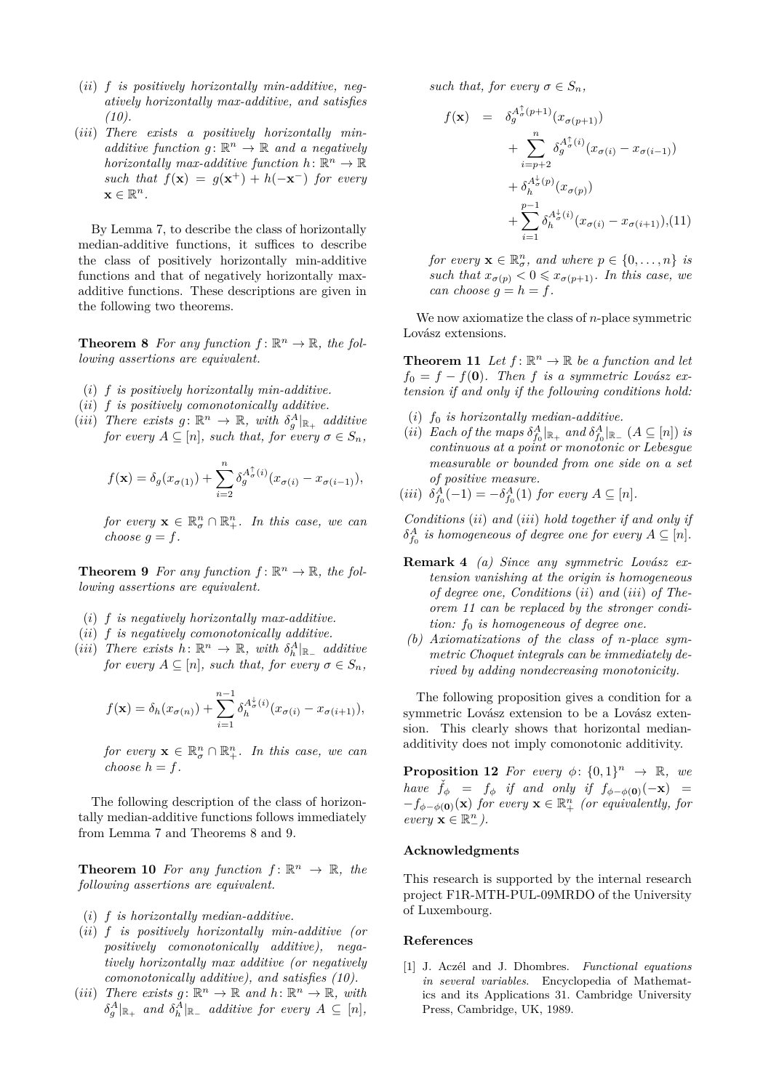- (*ii*) *f is positively horizontally min-additive, negatively horizontally max-additive, and satisfies (10).*
- (*iii*) *There exists a positively horizontally minadditive function*  $g: \mathbb{R}^n \to \mathbb{R}$  and a negatively *horizontally max-additive function*  $h: \mathbb{R}^n \to \mathbb{R}$ *such that*  $f(\mathbf{x}) = g(\mathbf{x}^+) + h(-\mathbf{x}^-)$  *for every*  $\mathbf{x} \in \mathbb{R}^n$ .

By Lemma 7, to describe the class of horizontally median-additive functions, it suffices to describe the class of positively horizontally min-additive functions and that of negatively horizontally maxadditive functions. These descriptions are given in the following two theorems.

**Theorem 8** For any function  $f: \mathbb{R}^n \to \mathbb{R}$ , the fol*lowing assertions are equivalent.*

- (*i*) *f is positively horizontally min-additive.*
- (*ii*) *f is positively comonotonically additive.*
- (*iii*) There exists  $g: \mathbb{R}^n \to \mathbb{R}$ , with  $\delta_g^A|_{\mathbb{R}_+}$  additive *for every*  $A \subseteq [n]$ *, such that, for every*  $\sigma \in S_n$ *,*

$$
f(\mathbf{x}) = \delta_g(x_{\sigma(1)}) + \sum_{i=2}^n \delta_g^{A^{\uparrow}_\sigma(i)}(x_{\sigma(i)} - x_{\sigma(i-1)}),
$$

*for every*  $\mathbf{x} \in \mathbb{R}^n_{\sigma} \cap \mathbb{R}^n_+$ *. In this case, we can choose*  $q = f$ *.* 

**Theorem 9** For any function  $f: \mathbb{R}^n \to \mathbb{R}$ , the fol*lowing assertions are equivalent.*

- (*i*) *f is negatively horizontally max-additive.*
- (*ii*) *f is negatively comonotonically additive.*
- $(iii)$  *There exists*  $h: \mathbb{R}^n \to \mathbb{R}$ *, with*  $\delta_h^A|_{\mathbb{R}_-}$  *additive for every*  $A \subseteq [n]$ *, such that, for every*  $\sigma \in S_n$ *,*

$$
f(\mathbf{x}) = \delta_h(x_{\sigma(n)}) + \sum_{i=1}^{n-1} \delta_h^{A_{\sigma}^{\downarrow}(i)} (x_{\sigma(i)} - x_{\sigma(i+1)}),
$$

*for every*  $\mathbf{x} \in \mathbb{R}^n_{\sigma} \cap \mathbb{R}^n_+$ *. In this case, we can choose*  $h = f$ .

The following description of the class of horizontally median-additive functions follows immediately from Lemma 7 and Theorems 8 and 9.

**Theorem 10** For any function  $f: \mathbb{R}^n \to \mathbb{R}$ , the *following assertions are equivalent.*

- (*i*) *f is horizontally median-additive.*
- (*ii*) *f is positively horizontally min-additive (or positively comonotonically additive), negatively horizontally max additive (or negatively comonotonically additive), and satisfies (10).*
- (*iii*) There exists  $g: \mathbb{R}^n \to \mathbb{R}$  and  $h: \mathbb{R}^n \to \mathbb{R}$ , with  $\delta_g^A|_{\mathbb{R}_+}$  and  $\delta_h^A|_{\mathbb{R}_-}$  additive for every  $A \subseteq [n]$ *,*

*such that, for every*  $\sigma \in S_n$ ,

$$
f(\mathbf{x}) = \delta_g^{A_{\sigma}^{\dagger}(p+1)}(x_{\sigma(p+1)})
$$
  
+ 
$$
\sum_{i=p+2}^{n} \delta_g^{A_{\sigma}^{\dagger}(i)}(x_{\sigma(i)} - x_{\sigma(i-1)})
$$
  
+ 
$$
\delta_h^{A_{\sigma}^{\dagger}(p)}(x_{\sigma(p)})
$$
  
+ 
$$
\sum_{i=1}^{p-1} \delta_h^{A_{\sigma}^{\dagger}(i)}(x_{\sigma(i)} - x_{\sigma(i+1)}), (11)
$$

*for every*  $\mathbf{x} \in \mathbb{R}^n_{\sigma}$ *, and where*  $p \in \{0, \ldots, n\}$  *is such that*  $x_{\sigma(p)} < 0 \leq x_{\sigma(p+1)}$ *. In this case, we can choose*  $g = h = f$ .

We now axiomatize the class of *n*-place symmetric Lovász extensions.

**Theorem 11** Let  $f: \mathbb{R}^n \to \mathbb{R}$  be a function and let  $f_0 = f - f(\mathbf{0})$ *. Then f is a symmetric Lovász extension if and only if the following conditions hold:*

- (*i*) *f*<sup>0</sup> *is horizontally median-additive.*
- (*ii*) *Each of the maps*  $\delta_{f_0}^A|_{\mathbb{R}_+}$  *and*  $\delta_{f_0}^A|_{\mathbb{R}_-}$  ( $A \subseteq [n]$ ) *is continuous at a point or monotonic or Lebesgue measurable or bounded from one side on a set of positive measure.*
- $(iii)$   $\delta_{f_0}^A(-1) = -\delta_{f_0}^A(1)$  *for every*  $A \subseteq [n]$ *.*

*Conditions* (*ii*) *and* (*iii*) *hold together if and only if*  $\delta_{f_0}^A$  *is homogeneous of degree one for every*  $A \subseteq [n]$ *.* 

- **Remark 4** *(a) Since any symmetric Lovász extension vanishing at the origin is homogeneous of degree one, Conditions* (*ii*) *and* (*iii*) *of Theorem 11 can be replaced by the stronger condition: f*<sup>0</sup> *is homogeneous of degree one.*
- *(b) Axiomatizations of the class of n-place symmetric Choquet integrals can be immediately derived by adding nondecreasing monotonicity.*

The following proposition gives a condition for a symmetric Lovász extension to be a Lovász extension. This clearly shows that horizontal medianadditivity does not imply comonotonic additivity.

**Proposition 12** For every  $\phi$ :  $\{0,1\}^n \rightarrow \mathbb{R}$ , we *have*  $\check{f}_{\phi}$  =  $f_{\phi}$  *if and only if*  $f_{\phi-\phi(0)}(-\mathbf{x})$  =  $-f_{\phi-\phi(\mathbf{0})}(\mathbf{x})$  *for every*  $\mathbf{x} \in \mathbb{R}^n_+$  *(or equivalently, for*  $every \mathbf{x} \in \mathbb{R}^n_-$ ).

#### **Acknowledgments**

This research is supported by the internal research project F1R-MTH-PUL-09MRDO of the University of Luxembourg.

#### **References**

[1] J. Aczél and J. Dhombres. *Functional equations in several variables*. Encyclopedia of Mathematics and its Applications 31. Cambridge University Press, Cambridge, UK, 1989.